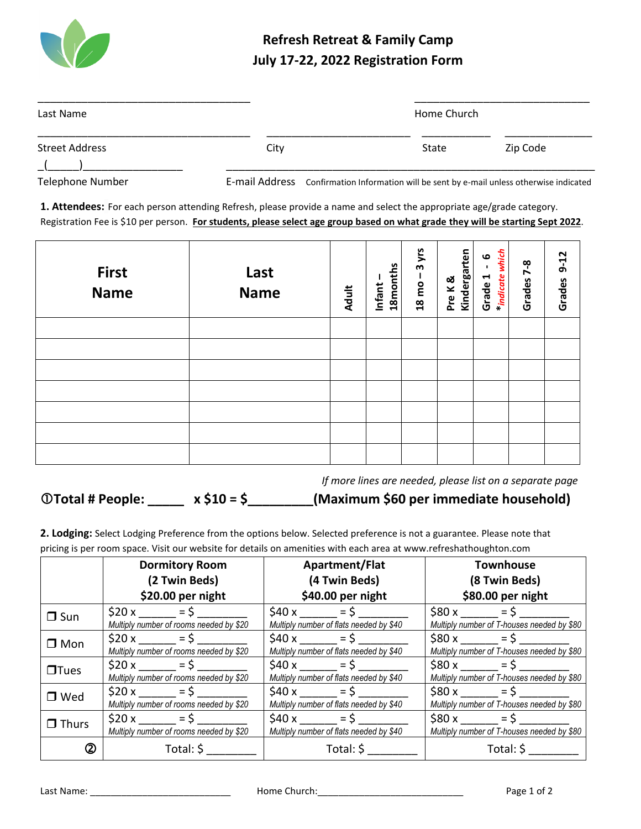

## **Refresh Retreat & Family Camp July 17-22, 2022 Registration Form**

| Last Name               |                                                                                           | Home Church |          |  |  |  |
|-------------------------|-------------------------------------------------------------------------------------------|-------------|----------|--|--|--|
| <b>Street Address</b>   | City                                                                                      | State       | Zip Code |  |  |  |
| <b>Telephone Number</b> | E-mail Address Confirmation Information will be sent by e-mail unless otherwise indicated |             |          |  |  |  |

**1. Attendees:** For each person attending Refresh, please provide a name and select the appropriate age/grade category. Registration Fee is \$10 per person. **For students, please select age group based on what grade they will be starting Sept 2022**.

| <b>First</b><br><b>Name</b> | Last<br><b>Name</b> | <b>Adult</b> | 18months<br>Infant | 3 yrs<br>18 mo- | Kindergarten<br>Pre K & | * indicate which<br>G<br>Grade 1 | $7-8$<br>Grades | $9 - 12$<br>Grades |
|-----------------------------|---------------------|--------------|--------------------|-----------------|-------------------------|----------------------------------|-----------------|--------------------|
|                             |                     |              |                    |                 |                         |                                  |                 |                    |
|                             |                     |              |                    |                 |                         |                                  |                 |                    |
|                             |                     |              |                    |                 |                         |                                  |                 |                    |
|                             |                     |              |                    |                 |                         |                                  |                 |                    |
|                             |                     |              |                    |                 |                         |                                  |                 |                    |
|                             |                     |              |                    |                 |                         |                                  |                 |                    |
|                             |                     |              |                    |                 |                         |                                  |                 |                    |

*If more lines are needed, please list on a separate page*

**Total # People: \_\_\_\_\_ x \$10 = \$\_\_\_\_\_\_\_\_\_(Maximum \$60 per immediate household)** 

**2. Lodging:** Select Lodging Preference from the options below. Selected preference is not a guarantee. Please note that pricing is per room space. Visit our website for details on amenities with each area at www.refreshathoughton.com

|                | <b>Dormitory Room</b>                   | Apartment/Flat                          | <b>Townhouse</b>                           |  |  |
|----------------|-----------------------------------------|-----------------------------------------|--------------------------------------------|--|--|
|                | (2 Twin Beds)                           | (4 Twin Beds)                           | (8 Twin Beds)                              |  |  |
|                | \$20.00 per night                       | \$40.00 per night                       | \$80.00 per night                          |  |  |
| $\Box$ Sun     | $$20x = $$                              | $$40x = $$                              | $$80x = $$                                 |  |  |
|                | Multiply number of rooms needed by \$20 | Multiply number of flats needed by \$40 | Multiply number of T-houses needed by \$80 |  |  |
| $\square$ Mon  | $$20x = $$                              | $$40x = $$                              | $$80x = $$                                 |  |  |
|                | Multiply number of rooms needed by \$20 | Multiply number of flats needed by \$40 | Multiply number of T-houses needed by \$80 |  |  |
| $\square$ Tues | $$20x = $$                              | $$40x = $$                              | $$80 x = $$                                |  |  |
|                | Multiply number of rooms needed by \$20 | Multiply number of flats needed by \$40 | Multiply number of T-houses needed by \$80 |  |  |
| $\Box$ Wed     | $$20x = $$                              | $$40x = $$                              | $$80x = $$                                 |  |  |
|                | Multiply number of rooms needed by \$20 | Multiply number of flats needed by \$40 | Multiply number of T-houses needed by \$80 |  |  |
| $\Box$ Thurs   | $$20x = $$                              | $$40x = $$                              | $$80 x$ = \$                               |  |  |
|                | Multiply number of rooms needed by \$20 | Multiply number of flats needed by \$40 | Multiply number of T-houses needed by \$80 |  |  |
| ②              | Total: $\zeta$                          | Total: \$                               | Total: \$                                  |  |  |